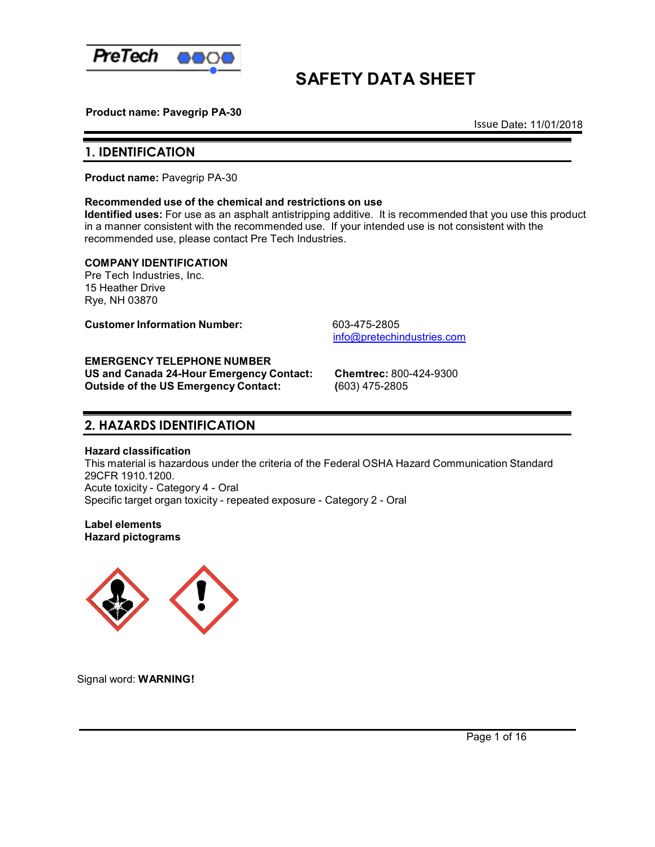

# **SAFETY DATA SHEET**

 **Product name: Pavegrip PA-30**

Issue Date**:** 11/01/2018

## **1. IDENTIFICATION**

**Product name:** Pavegrip PA-30

## **Recommended use of the chemical and restrictions on use**

**Identified uses:** For use as an asphalt antistripping additive. It is recommended that you use this product in a manner consistent with the recommended use. If your intended use is not consistent with the recommended use, please contact Pre Tech Industries.

## **COMPANY IDENTIFICATION**

Pre Tech Industries, Inc. 15 Heather Drive Rye, NH 03870

**Customer Information Number:** 603-475-2805

[info@pretechindustries.com](mailto:info@pretechindustries.com)

## **EMERGENCY TELEPHONE NUMBER**

**US and Canada 24-Hour Emergency Contact: Chemtrec:** 800-424-9300 **Outside of the US Emergency Contact: (**603) 475-2805

## **2. HAZARDS IDENTIFICATION**

## **Hazard classification**

This material is hazardous under the criteria of the Federal OSHA Hazard Communication Standard 29CFR 1910.1200. Acute toxicity - Category 4 - Oral Specific target organ toxicity - repeated exposure - Category 2 - Oral

**Label elements Hazard pictograms**



Signal word: **WARNING!**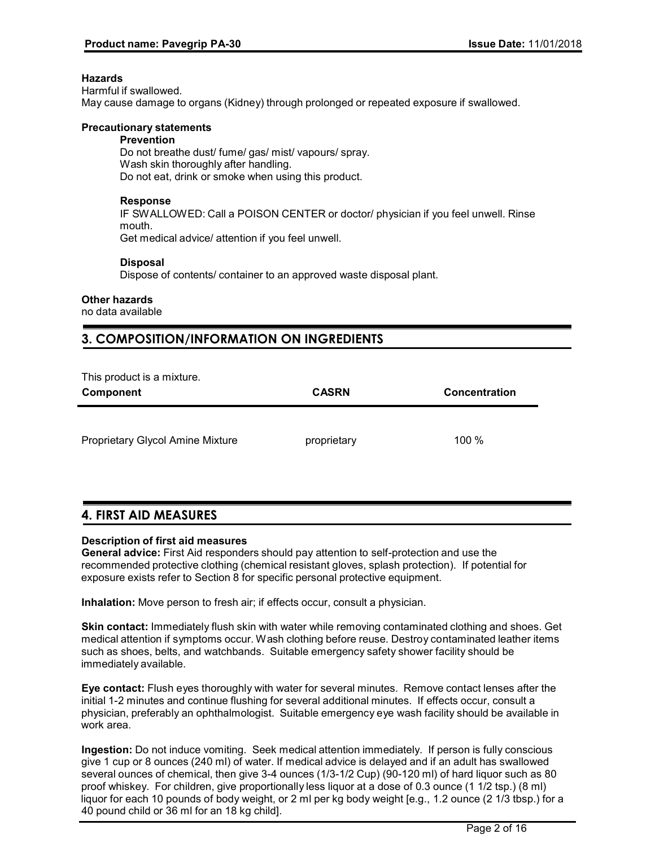## **Hazards**

Harmful if swallowed. May cause damage to organs (Kidney) through prolonged or repeated exposure if swallowed.

## **Precautionary statements**

## **Prevention**

Do not breathe dust/ fume/ gas/ mist/ vapours/ spray. Wash skin thoroughly after handling. Do not eat, drink or smoke when using this product.

## **Response**

IF SWALLOWED: Call a POISON CENTER or doctor/ physician if you feel unwell. Rinse mouth.

Get medical advice/ attention if you feel unwell.

## **Disposal**

Dispose of contents/ container to an approved waste disposal plant.

## **Other hazards**

no data available

## **3. COMPOSITION/INFORMATION ON INGREDIENTS**

| Component                               | <b>CASRN</b> | <b>Concentration</b> |
|-----------------------------------------|--------------|----------------------|
| <b>Proprietary Glycol Amine Mixture</b> | proprietary  | 100 %                |
|                                         |              |                      |

## **4. FIRST AID MEASURES**

## **Description of first aid measures**

**General advice:** First Aid responders should pay attention to self-protection and use the recommended protective clothing (chemical resistant gloves, splash protection). If potential for exposure exists refer to Section 8 for specific personal protective equipment.

**Inhalation:** Move person to fresh air; if effects occur, consult a physician.

**Skin contact:** Immediately flush skin with water while removing contaminated clothing and shoes. Get medical attention if symptoms occur. Wash clothing before reuse. Destroy contaminated leather items such as shoes, belts, and watchbands. Suitable emergency safety shower facility should be immediately available.

**Eye contact:** Flush eyes thoroughly with water for several minutes. Remove contact lenses after the initial 1-2 minutes and continue flushing for several additional minutes. If effects occur, consult a physician, preferably an ophthalmologist. Suitable emergency eye wash facility should be available in work area.

**Ingestion:** Do not induce vomiting. Seek medical attention immediately. If person is fully conscious give 1 cup or 8 ounces (240 ml) of water. If medical advice is delayed and if an adult has swallowed several ounces of chemical, then give 3-4 ounces (1/3-1/2 Cup) (90-120 ml) of hard liquor such as 80 proof whiskey. For children, give proportionally less liquor at a dose of 0.3 ounce (1 1/2 tsp.) (8 ml) liquor for each 10 pounds of body weight, or 2 ml per kg body weight [e.g., 1.2 ounce (2 1/3 tbsp.) for a 40 pound child or 36 ml for an 18 kg child].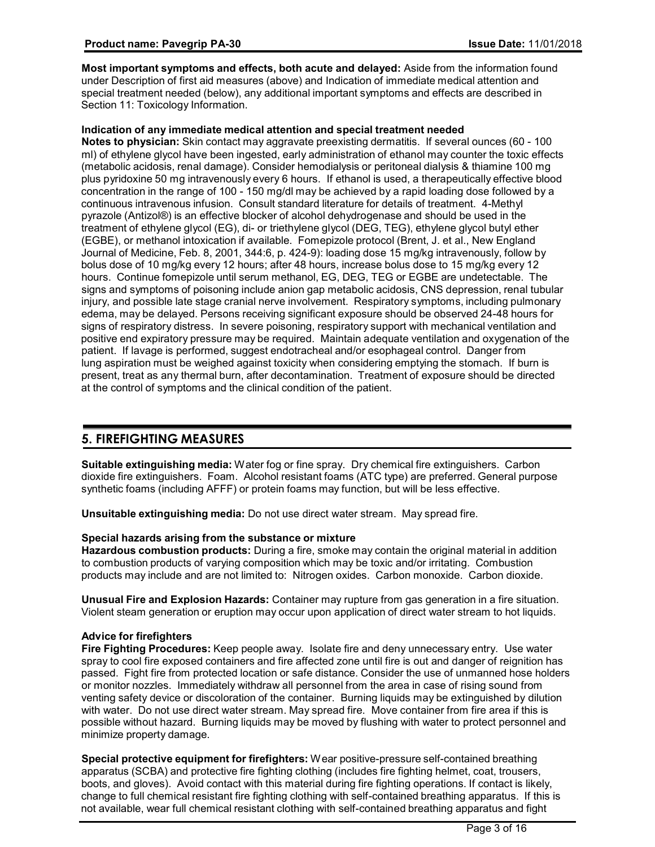**Most important symptoms and effects, both acute and delayed:** Aside from the information found under Description of first aid measures (above) and Indication of immediate medical attention and special treatment needed (below), any additional important symptoms and effects are described in Section 11: Toxicology Information.

## **Indication of any immediate medical attention and special treatment needed**

**Notes to physician:** Skin contact may aggravate preexisting dermatitis. If several ounces (60 - 100 ml) of ethylene glycol have been ingested, early administration of ethanol may counter the toxic effects (metabolic acidosis, renal damage). Consider hemodialysis or peritoneal dialysis & thiamine 100 mg plus pyridoxine 50 mg intravenously every 6 hours. If ethanol is used, a therapeutically effective blood concentration in the range of 100 - 150 mg/dl may be achieved by a rapid loading dose followed by a continuous intravenous infusion. Consult standard literature for details of treatment. 4-Methyl pyrazole (Antizol®) is an effective blocker of alcohol dehydrogenase and should be used in the treatment of ethylene glycol (EG), di- or triethylene glycol (DEG, TEG), ethylene glycol butyl ether (EGBE), or methanol intoxication if available. Fomepizole protocol (Brent, J. et al., New England Journal of Medicine, Feb. 8, 2001, 344:6, p. 424-9): loading dose 15 mg/kg intravenously, follow by bolus dose of 10 mg/kg every 12 hours; after 48 hours, increase bolus dose to 15 mg/kg every 12 hours. Continue fomepizole until serum methanol, EG, DEG, TEG or EGBE are undetectable. The signs and symptoms of poisoning include anion gap metabolic acidosis, CNS depression, renal tubular injury, and possible late stage cranial nerve involvement. Respiratory symptoms, including pulmonary edema, may be delayed. Persons receiving significant exposure should be observed 24-48 hours for signs of respiratory distress. In severe poisoning, respiratory support with mechanical ventilation and positive end expiratory pressure may be required. Maintain adequate ventilation and oxygenation of the patient. If lavage is performed, suggest endotracheal and/or esophageal control. Danger from lung aspiration must be weighed against toxicity when considering emptying the stomach. If burn is present, treat as any thermal burn, after decontamination. Treatment of exposure should be directed at the control of symptoms and the clinical condition of the patient.

## **5. FIREFIGHTING MEASURES**

**Suitable extinguishing media:** Water fog or fine spray. Dry chemical fire extinguishers. Carbon dioxide fire extinguishers. Foam. Alcohol resistant foams (ATC type) are preferred. General purpose synthetic foams (including AFFF) or protein foams may function, but will be less effective.

**Unsuitable extinguishing media:** Do not use direct water stream. May spread fire.

## **Special hazards arising from the substance or mixture**

**Hazardous combustion products:** During a fire, smoke may contain the original material in addition to combustion products of varying composition which may be toxic and/or irritating. Combustion products may include and are not limited to: Nitrogen oxides. Carbon monoxide. Carbon dioxide.

**Unusual Fire and Explosion Hazards:** Container may rupture from gas generation in a fire situation. Violent steam generation or eruption may occur upon application of direct water stream to hot liquids.

## **Advice for firefighters**

**Fire Fighting Procedures:** Keep people away. Isolate fire and deny unnecessary entry. Use water spray to cool fire exposed containers and fire affected zone until fire is out and danger of reignition has passed. Fight fire from protected location or safe distance. Consider the use of unmanned hose holders or monitor nozzles. Immediately withdraw all personnel from the area in case of rising sound from venting safety device or discoloration of the container. Burning liquids may be extinguished by dilution with water. Do not use direct water stream. May spread fire. Move container from fire area if this is possible without hazard. Burning liquids may be moved by flushing with water to protect personnel and minimize property damage.

**Special protective equipment for firefighters:** Wear positive-pressure self-contained breathing apparatus (SCBA) and protective fire fighting clothing (includes fire fighting helmet, coat, trousers, boots, and gloves). Avoid contact with this material during fire fighting operations. If contact is likely, change to full chemical resistant fire fighting clothing with self-contained breathing apparatus. If this is not available, wear full chemical resistant clothing with self-contained breathing apparatus and fight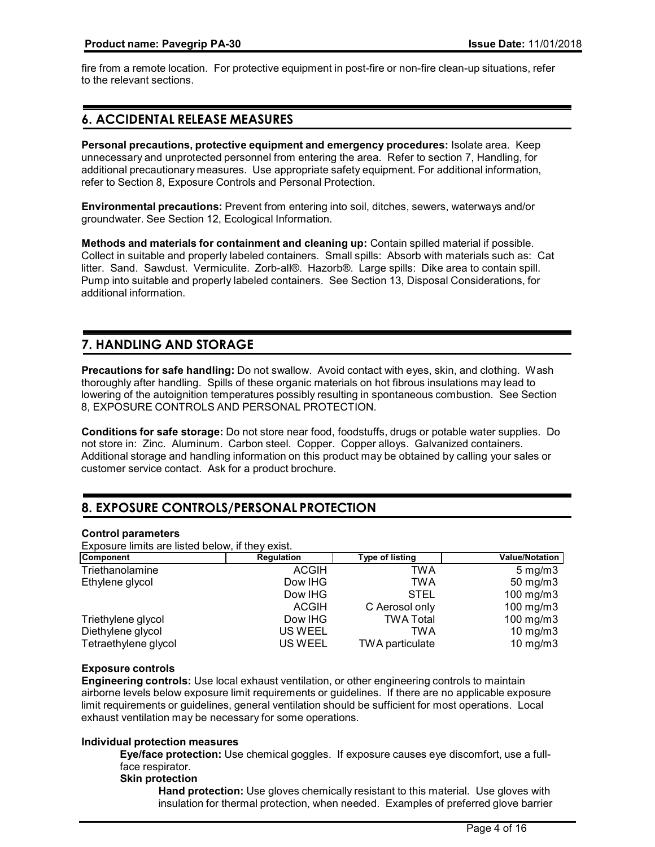fire from a remote location. For protective equipment in post-fire or non-fire clean-up situations, refer to the relevant sections.

## **6. ACCIDENTAL RELEASE MEASURES**

**Personal precautions, protective equipment and emergency procedures:** Isolate area. Keep unnecessary and unprotected personnel from entering the area. Refer to section 7, Handling, for additional precautionary measures. Use appropriate safety equipment. For additional information, refer to Section 8, Exposure Controls and Personal Protection.

**Environmental precautions:** Prevent from entering into soil, ditches, sewers, waterways and/or groundwater. See Section 12, Ecological Information.

**Methods and materials for containment and cleaning up:** Contain spilled material if possible. Collect in suitable and properly labeled containers. Small spills: Absorb with materials such as: Cat litter. Sand. Sawdust. Vermiculite. Zorb-all®. Hazorb®. Large spills: Dike area to contain spill. Pump into suitable and properly labeled containers. See Section 13, Disposal Considerations, for additional information.

## **7. HANDLING AND STORAGE**

**Precautions for safe handling:** Do not swallow. Avoid contact with eyes, skin, and clothing. Wash thoroughly after handling. Spills of these organic materials on hot fibrous insulations may lead to lowering of the autoignition temperatures possibly resulting in spontaneous combustion. See Section 8, EXPOSURE CONTROLS AND PERSONAL PROTECTION.

**Conditions for safe storage:** Do not store near food, foodstuffs, drugs or potable water supplies. Do not store in: Zinc. Aluminum. Carbon steel. Copper. Copper alloys. Galvanized containers. Additional storage and handling information on this product may be obtained by calling your sales or customer service contact. Ask for a product brochure.

## **8. EXPOSURE CONTROLS/PERSONAL PROTECTION**

## **Control parameters**

Exposure limits are listed below, if they exist.

| Component            | Regulation   | <b>Type of listing</b> | <b>Value/Notation</b> |
|----------------------|--------------|------------------------|-----------------------|
| Triethanolamine      | <b>ACGIH</b> | TWA                    | $5 \,\mathrm{mg/m}$   |
| Ethylene glycol      | Dow IHG      | TWA                    | $50 \text{ mg/m}$ 3   |
|                      | Dow IHG      | STEL                   | 100 mg/m $3$          |
|                      | <b>ACGIH</b> | C Aerosol only         | 100 mg/m $3$          |
| Triethylene glycol   | Dow IHG      | <b>TWA Total</b>       | 100 mg/m $3$          |
| Diethylene glycol    | US WEEL      | TWA                    | $10$ mg/m $3$         |
| Tetraethylene glycol | US WEEL      | TWA particulate        | $10$ mg/m $3$         |

## **Exposure controls**

**Engineering controls:** Use local exhaust ventilation, or other engineering controls to maintain airborne levels below exposure limit requirements or guidelines. If there are no applicable exposure limit requirements or guidelines, general ventilation should be sufficient for most operations. Local exhaust ventilation may be necessary for some operations.

## **Individual protection measures**

**Eye/face protection:** Use chemical goggles. If exposure causes eye discomfort, use a fullface respirator.

## **Skin protection**

**Hand protection:** Use gloves chemically resistant to this material. Use gloves with insulation for thermal protection, when needed. Examples of preferred glove barrier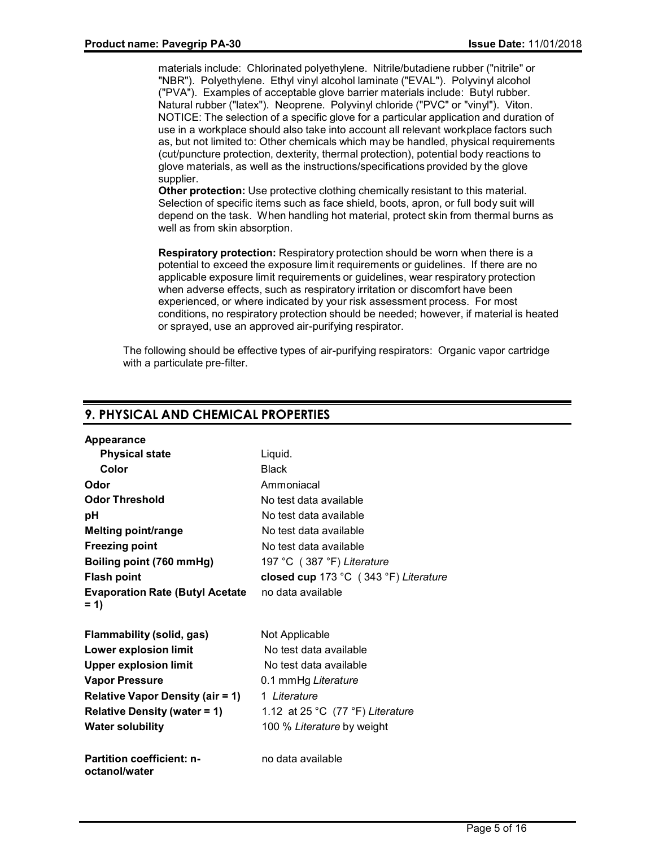materials include: Chlorinated polyethylene. Nitrile/butadiene rubber ("nitrile" or "NBR"). Polyethylene. Ethyl vinyl alcohol laminate ("EVAL"). Polyvinyl alcohol ("PVA"). Examples of acceptable glove barrier materials include: Butyl rubber. Natural rubber ("latex"). Neoprene. Polyvinyl chloride ("PVC" or "vinyl"). Viton. NOTICE: The selection of a specific glove for a particular application and duration of use in a workplace should also take into account all relevant workplace factors such as, but not limited to: Other chemicals which may be handled, physical requirements (cut/puncture protection, dexterity, thermal protection), potential body reactions to glove materials, as well as the instructions/specifications provided by the glove supplier.

**Other protection:** Use protective clothing chemically resistant to this material. Selection of specific items such as face shield, boots, apron, or full body suit will depend on the task. When handling hot material, protect skin from thermal burns as well as from skin absorption.

**Respiratory protection:** Respiratory protection should be worn when there is a potential to exceed the exposure limit requirements or guidelines. If there are no applicable exposure limit requirements or guidelines, wear respiratory protection when adverse effects, such as respiratory irritation or discomfort have been experienced, or where indicated by your risk assessment process. For most conditions, no respiratory protection should be needed; however, if material is heated or sprayed, use an approved air-purifying respirator.

The following should be effective types of air-purifying respirators: Organic vapor cartridge with a particulate pre-filter.

## **9. PHYSICAL AND CHEMICAL PROPERTIES**

| Appearance                                        |                                       |
|---------------------------------------------------|---------------------------------------|
| <b>Physical state</b>                             | Liquid.                               |
| Color                                             | Black                                 |
| Odor                                              | Ammoniacal                            |
| <b>Odor Threshold</b>                             | No test data available                |
| рH                                                | No test data available                |
| <b>Melting point/range</b>                        | No test data available                |
| <b>Freezing point</b>                             | No test data available                |
| Boiling point (760 mmHg)                          | 197 °C (387 °F) Literature            |
| <b>Flash point</b>                                | closed cup 173 °C (343 °F) Literature |
| <b>Evaporation Rate (Butyl Acetate</b><br>$= 1$   | no data available                     |
| Flammability (solid, gas)                         | Not Applicable                        |
| <b>Lower explosion limit</b>                      | No test data available                |
| <b>Upper explosion limit</b>                      | No test data available                |
| <b>Vapor Pressure</b>                             | 0.1 mmHg Literature                   |
| <b>Relative Vapor Density (air = 1)</b>           | 1 Literature                          |
| <b>Relative Density (water = 1)</b>               | 1.12 at 25 °C $(77 °F)$ Literature    |
| <b>Water solubility</b>                           | 100 % Literature by weight            |
| <b>Partition coefficient: n-</b><br>octanol/water | no data available                     |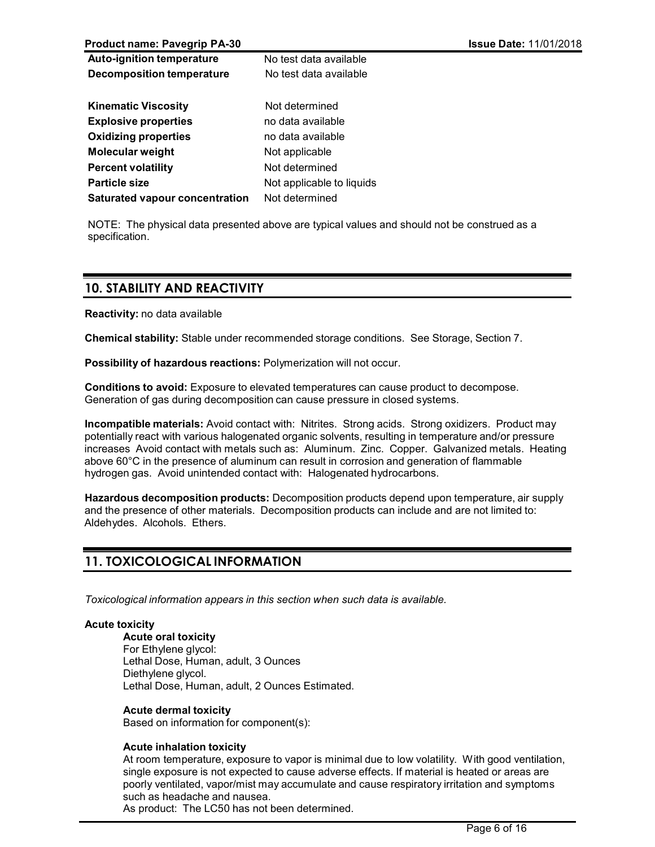**Product name: Pavegrip PA-30 Issue Date:** 11/01/2018

| <b>Auto-ignition temperature</b>      | No test data available    |
|---------------------------------------|---------------------------|
| <b>Decomposition temperature</b>      | No test data available    |
|                                       |                           |
| <b>Kinematic Viscosity</b>            | Not determined            |
| <b>Explosive properties</b>           | no data available         |
| <b>Oxidizing properties</b>           | no data available         |
| <b>Molecular weight</b>               | Not applicable            |
| <b>Percent volatility</b>             | Not determined            |
| <b>Particle size</b>                  | Not applicable to liquids |
| <b>Saturated vapour concentration</b> | Not determined            |
|                                       |                           |

NOTE: The physical data presented above are typical values and should not be construed as a specification.

## **10. STABILITY AND REACTIVITY**

**Reactivity:** no data available

**Chemical stability:** Stable under recommended storage conditions. See Storage, Section 7.

**Possibility of hazardous reactions:** Polymerization will not occur.

**Conditions to avoid:** Exposure to elevated temperatures can cause product to decompose. Generation of gas during decomposition can cause pressure in closed systems.

**Incompatible materials:** Avoid contact with: Nitrites. Strong acids. Strong oxidizers. Product may potentially react with various halogenated organic solvents, resulting in temperature and/or pressure increases Avoid contact with metals such as: Aluminum. Zinc. Copper. Galvanized metals. Heating above 60°C in the presence of aluminum can result in corrosion and generation of flammable hydrogen gas. Avoid unintended contact with: Halogenated hydrocarbons.

**Hazardous decomposition products:** Decomposition products depend upon temperature, air supply and the presence of other materials. Decomposition products can include and are not limited to: Aldehydes. Alcohols. Ethers.

## **11. TOXICOLOGICAL INFORMATION**

*Toxicological information appears in this section when such data is available.*

## **Acute toxicity**

**Acute oral toxicity** For Ethylene glycol: Lethal Dose, Human, adult, 3 Ounces Diethylene glycol. Lethal Dose, Human, adult, 2 Ounces Estimated.

## **Acute dermal toxicity**

Based on information for component(s):

## **Acute inhalation toxicity**

At room temperature, exposure to vapor is minimal due to low volatility. With good ventilation, single exposure is not expected to cause adverse effects. If material is heated or areas are poorly ventilated, vapor/mist may accumulate and cause respiratory irritation and symptoms such as headache and nausea.

As product: The LC50 has not been determined.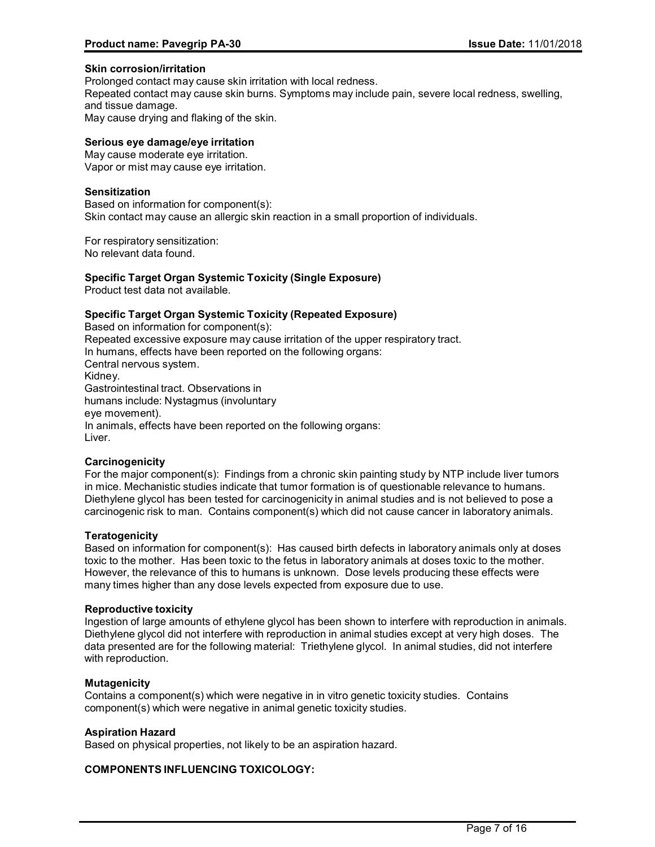## **Skin corrosion/irritation**

Prolonged contact may cause skin irritation with local redness.

Repeated contact may cause skin burns. Symptoms may include pain, severe local redness, swelling, and tissue damage.

May cause drying and flaking of the skin.

## **Serious eye damage/eye irritation**

May cause moderate eye irritation. Vapor or mist may cause eye irritation.

## **Sensitization**

Based on information for component(s): Skin contact may cause an allergic skin reaction in a small proportion of individuals.

For respiratory sensitization: No relevant data found.

## **Specific Target Organ Systemic Toxicity (Single Exposure)**

Product test data not available.

## **Specific Target Organ Systemic Toxicity (Repeated Exposure)**

Based on information for component(s): Repeated excessive exposure may cause irritation of the upper respiratory tract. In humans, effects have been reported on the following organs: Central nervous system. Kidney. Gastrointestinal tract. Observations in humans include: Nystagmus (involuntary eye movement). In animals, effects have been reported on the following organs: Liver.

## **Carcinogenicity**

For the major component(s): Findings from a chronic skin painting study by NTP include liver tumors in mice. Mechanistic studies indicate that tumor formation is of questionable relevance to humans. Diethylene glycol has been tested for carcinogenicity in animal studies and is not believed to pose a carcinogenic risk to man. Contains component(s) which did not cause cancer in laboratory animals.

## **Teratogenicity**

Based on information for component(s): Has caused birth defects in laboratory animals only at doses toxic to the mother. Has been toxic to the fetus in laboratory animals at doses toxic to the mother. However, the relevance of this to humans is unknown. Dose levels producing these effects were many times higher than any dose levels expected from exposure due to use.

## **Reproductive toxicity**

Ingestion of large amounts of ethylene glycol has been shown to interfere with reproduction in animals. Diethylene glycol did not interfere with reproduction in animal studies except at very high doses. The data presented are for the following material: Triethylene glycol. In animal studies, did not interfere with reproduction.

## **Mutagenicity**

Contains a component(s) which were negative in in vitro genetic toxicity studies. Contains component(s) which were negative in animal genetic toxicity studies.

## **Aspiration Hazard**

Based on physical properties, not likely to be an aspiration hazard.

## **COMPONENTS INFLUENCING TOXICOLOGY:**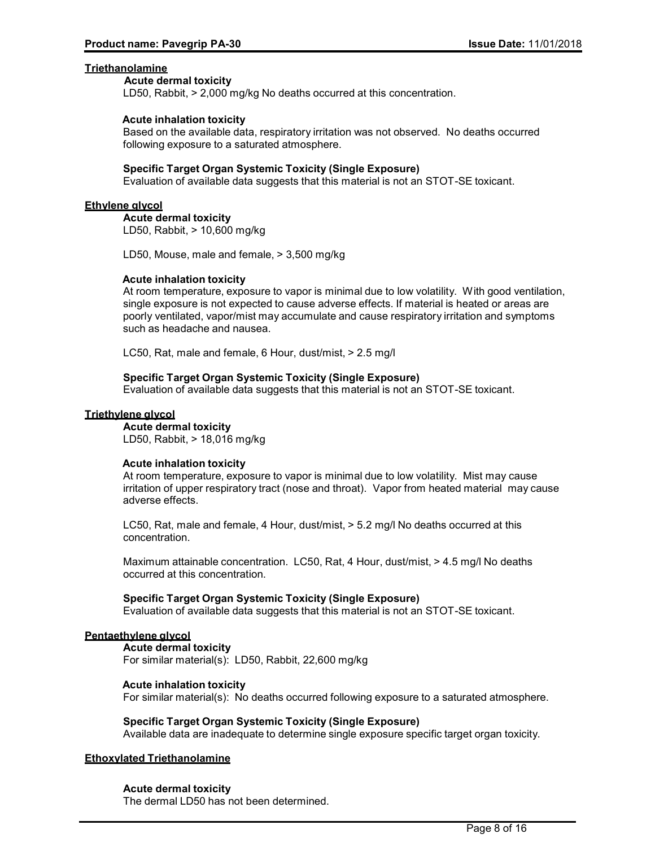## **Triethanolamine**

#### **Acute dermal toxicity**

LD50, Rabbit, > 2,000 mg/kg No deaths occurred at this concentration.

## **Acute inhalation toxicity**

Based on the available data, respiratory irritation was not observed. No deaths occurred following exposure to a saturated atmosphere.

## **Specific Target Organ Systemic Toxicity (Single Exposure)**

Evaluation of available data suggests that this material is not an STOT-SE toxicant.

#### **Ethylene glycol**

**Acute dermal toxicity** LD50, Rabbit, > 10,600 mg/kg

LD50, Mouse, male and female, > 3,500 mg/kg

#### **Acute inhalation toxicity**

At room temperature, exposure to vapor is minimal due to low volatility. With good ventilation, single exposure is not expected to cause adverse effects. If material is heated or areas are poorly ventilated, vapor/mist may accumulate and cause respiratory irritation and symptoms such as headache and nausea.

LC50, Rat, male and female, 6 Hour, dust/mist, > 2.5 mg/l

## **Specific Target Organ Systemic Toxicity (Single Exposure)**

Evaluation of available data suggests that this material is not an STOT-SE toxicant.

#### **Triethylene glycol**

#### **Acute dermal toxicity**

LD50, Rabbit, > 18,016 mg/kg

## **Acute inhalation toxicity**

At room temperature, exposure to vapor is minimal due to low volatility. Mist may cause irritation of upper respiratory tract (nose and throat). Vapor from heated material may cause adverse effects.

LC50, Rat, male and female, 4 Hour, dust/mist, > 5.2 mg/l No deaths occurred at this concentration.

Maximum attainable concentration. LC50, Rat, 4 Hour, dust/mist, > 4.5 mg/l No deaths occurred at this concentration.

#### **Specific Target Organ Systemic Toxicity (Single Exposure)**

Evaluation of available data suggests that this material is not an STOT-SE toxicant.

## **Pentaethylene glycol**

**Acute dermal toxicity** For similar material(s): LD50, Rabbit, 22,600 mg/kg

## **Acute inhalation toxicity**

For similar material(s): No deaths occurred following exposure to a saturated atmosphere.

#### **Specific Target Organ Systemic Toxicity (Single Exposure)**

Available data are inadequate to determine single exposure specific target organ toxicity.

## **Ethoxylated Triethanolamine**

## **Acute dermal toxicity**

The dermal LD50 has not been determined.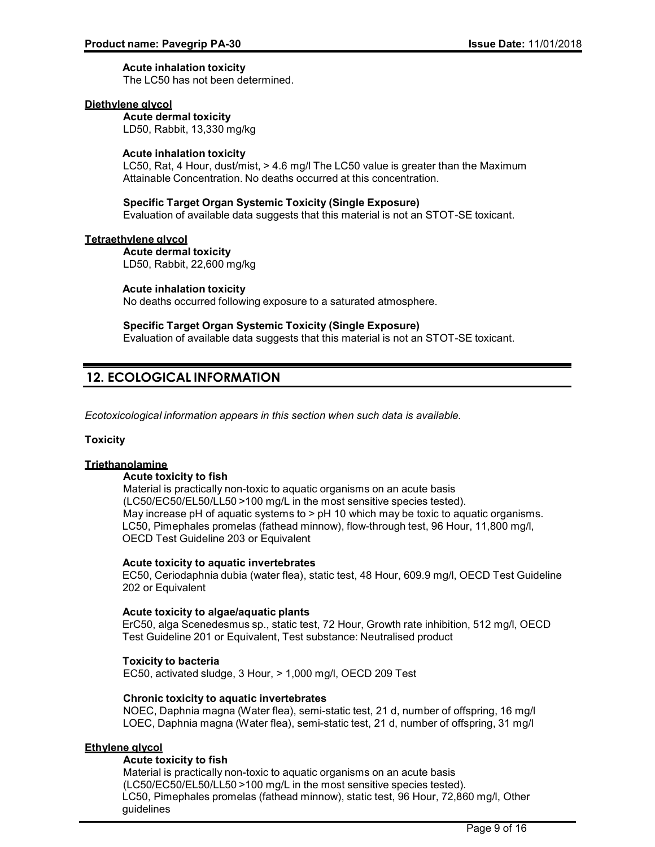## **Acute inhalation toxicity**

The LC50 has not been determined.

## **Diethylene glycol**

**Acute dermal toxicity** LD50, Rabbit, 13,330 mg/kg

## **Acute inhalation toxicity**

LC50, Rat, 4 Hour, dust/mist, > 4.6 mg/l The LC50 value is greater than the Maximum Attainable Concentration. No deaths occurred at this concentration.

## **Specific Target Organ Systemic Toxicity (Single Exposure)**

Evaluation of available data suggests that this material is not an STOT-SE toxicant.

## **Tetraethylene glycol**

**Acute dermal toxicity** LD50, Rabbit, 22,600 mg/kg

## **Acute inhalation toxicity**

No deaths occurred following exposure to a saturated atmosphere.

## **Specific Target Organ Systemic Toxicity (Single Exposure)**

Evaluation of available data suggests that this material is not an STOT-SE toxicant.

## **12. ECOLOGICAL INFORMATION**

*Ecotoxicological information appears in this section when such data is available.*

## **Toxicity**

## **Triethanolamine**

#### **Acute toxicity to fish**

Material is practically non-toxic to aquatic organisms on an acute basis (LC50/EC50/EL50/LL50 >100 mg/L in the most sensitive species tested). May increase pH of aquatic systems to  $>$  pH 10 which may be toxic to aquatic organisms. LC50, Pimephales promelas (fathead minnow), flow-through test, 96 Hour, 11,800 mg/l, OECD Test Guideline 203 or Equivalent

## **Acute toxicity to aquatic invertebrates**

EC50, Ceriodaphnia dubia (water flea), static test, 48 Hour, 609.9 mg/l, OECD Test Guideline 202 or Equivalent

## **Acute toxicity to algae/aquatic plants**

ErC50, alga Scenedesmus sp., static test, 72 Hour, Growth rate inhibition, 512 mg/l, OECD Test Guideline 201 or Equivalent, Test substance: Neutralised product

#### **Toxicity to bacteria**

EC50, activated sludge, 3 Hour, > 1,000 mg/l, OECD 209 Test

## **Chronic toxicity to aquatic invertebrates**

NOEC, Daphnia magna (Water flea), semi-static test, 21 d, number of offspring, 16 mg/l LOEC, Daphnia magna (Water flea), semi-static test, 21 d, number of offspring, 31 mg/l

## **Ethylene glycol**

#### **Acute toxicity to fish**

Material is practically non-toxic to aquatic organisms on an acute basis (LC50/EC50/EL50/LL50 >100 mg/L in the most sensitive species tested). LC50, Pimephales promelas (fathead minnow), static test, 96 Hour, 72,860 mg/l, Other guidelines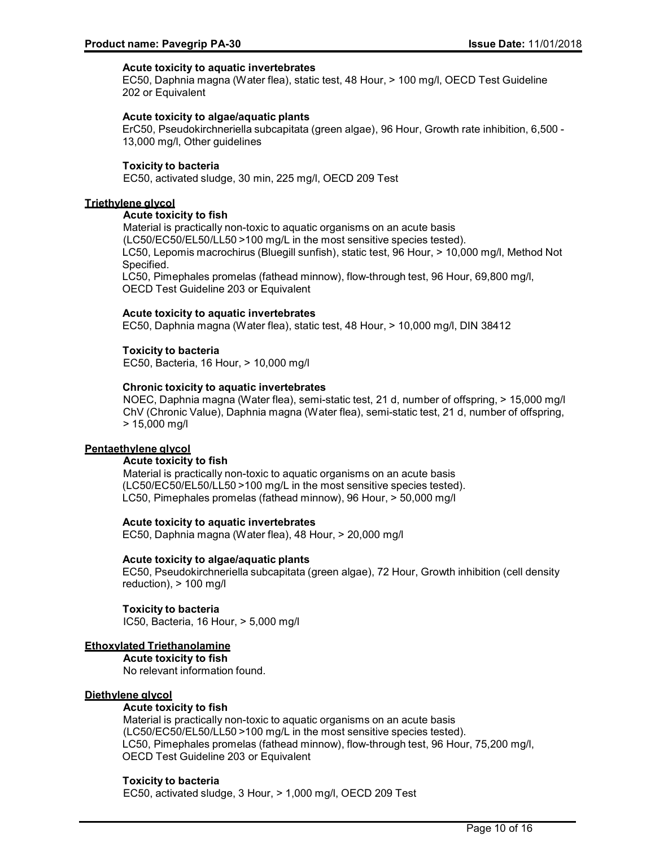## **Acute toxicity to aquatic invertebrates**

EC50, Daphnia magna (Water flea), static test, 48 Hour, > 100 mg/l, OECD Test Guideline 202 or Equivalent

## **Acute toxicity to algae/aquatic plants**

ErC50, Pseudokirchneriella subcapitata (green algae), 96 Hour, Growth rate inhibition, 6,500 - 13,000 mg/l, Other guidelines

#### **Toxicity to bacteria**

EC50, activated sludge, 30 min, 225 mg/l, OECD 209 Test

#### **Triethylene glycol**

#### **Acute toxicity to fish**

Material is practically non-toxic to aquatic organisms on an acute basis (LC50/EC50/EL50/LL50 >100 mg/L in the most sensitive species tested). LC50, Lepomis macrochirus (Bluegill sunfish), static test, 96 Hour, > 10,000 mg/l, Method Not Specified.

LC50, Pimephales promelas (fathead minnow), flow-through test, 96 Hour, 69,800 mg/l, OECD Test Guideline 203 or Equivalent

#### **Acute toxicity to aquatic invertebrates**

EC50, Daphnia magna (Water flea), static test, 48 Hour, > 10,000 mg/l, DIN 38412

#### **Toxicity to bacteria**

EC50, Bacteria, 16 Hour, > 10,000 mg/l

#### **Chronic toxicity to aquatic invertebrates**

NOEC, Daphnia magna (Water flea), semi-static test, 21 d, number of offspring, > 15,000 mg/l ChV (Chronic Value), Daphnia magna (Water flea), semi-static test, 21 d, number of offspring, > 15,000 mg/l

#### **Pentaethylene glycol**

#### **Acute toxicity to fish**

Material is practically non-toxic to aquatic organisms on an acute basis (LC50/EC50/EL50/LL50 >100 mg/L in the most sensitive species tested). LC50, Pimephales promelas (fathead minnow), 96 Hour, > 50,000 mg/l

#### **Acute toxicity to aquatic invertebrates**

EC50, Daphnia magna (Water flea), 48 Hour, > 20,000 mg/l

#### **Acute toxicity to algae/aquatic plants**

EC50, Pseudokirchneriella subcapitata (green algae), 72 Hour, Growth inhibition (cell density reduction), > 100 mg/l

## **Toxicity to bacteria**

IC50, Bacteria, 16 Hour, > 5,000 mg/l

#### **Ethoxylated Triethanolamine**

**Acute toxicity to fish** No relevant information found.

## **Diethylene glycol**

## **Acute toxicity to fish**

Material is practically non-toxic to aquatic organisms on an acute basis (LC50/EC50/EL50/LL50 >100 mg/L in the most sensitive species tested). LC50, Pimephales promelas (fathead minnow), flow-through test, 96 Hour, 75,200 mg/l, OECD Test Guideline 203 or Equivalent

#### **Toxicity to bacteria**

EC50, activated sludge, 3 Hour, > 1,000 mg/l, OECD 209 Test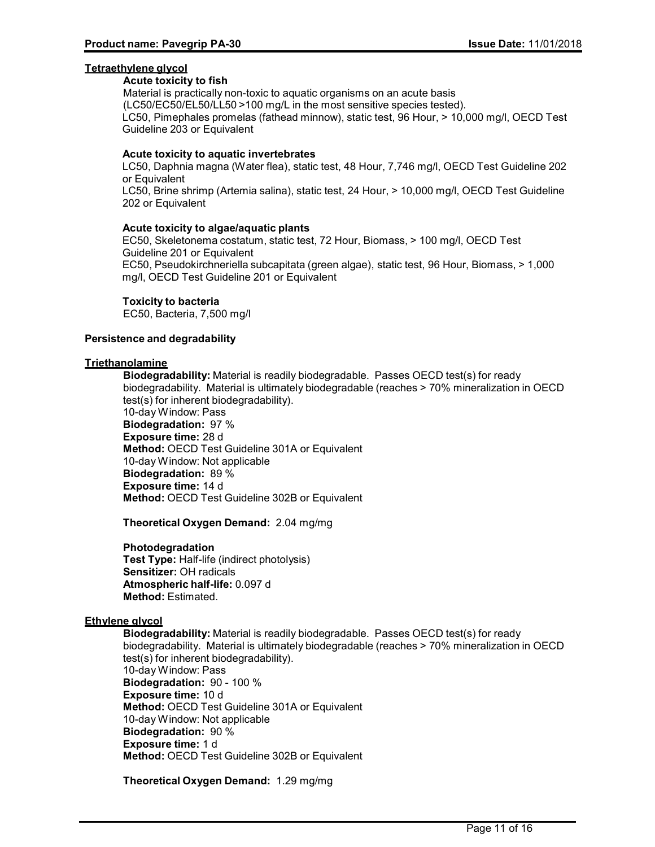## **Tetraethylene glycol**

## **Acute toxicity to fish**

Material is practically non-toxic to aquatic organisms on an acute basis (LC50/EC50/EL50/LL50 >100 mg/L in the most sensitive species tested). LC50, Pimephales promelas (fathead minnow), static test, 96 Hour, > 10,000 mg/l, OECD Test Guideline 203 or Equivalent

## **Acute toxicity to aquatic invertebrates**

LC50, Daphnia magna (Water flea), static test, 48 Hour, 7,746 mg/l, OECD Test Guideline 202 or Equivalent LC50, Brine shrimp (Artemia salina), static test, 24 Hour, > 10,000 mg/l, OECD Test Guideline 202 or Equivalent

## **Acute toxicity to algae/aquatic plants**

EC50, Skeletonema costatum, static test, 72 Hour, Biomass, > 100 mg/l, OECD Test Guideline 201 or Equivalent EC50, Pseudokirchneriella subcapitata (green algae), static test, 96 Hour, Biomass, > 1,000 mg/l, OECD Test Guideline 201 or Equivalent

## **Toxicity to bacteria**

EC50, Bacteria, 7,500 mg/l

## **Persistence and degradability**

## **Triethanolamine**

**Biodegradability:** Material is readily biodegradable. Passes OECD test(s) for ready biodegradability. Material is ultimately biodegradable (reaches > 70% mineralization in OECD test(s) for inherent biodegradability). 10-day Window: Pass **Biodegradation:** 97 % **Exposure time:** 28 d **Method:** OECD Test Guideline 301A or Equivalent 10-day Window: Not applicable **Biodegradation:** 89 % **Exposure time:** 14 d **Method:** OECD Test Guideline 302B or Equivalent

**Theoretical Oxygen Demand:** 2.04 mg/mg

## **Photodegradation**

**Test Type:** Half-life (indirect photolysis) **Sensitizer:** OH radicals **Atmospheric half-life:** 0.097 d **Method:** Estimated.

## **Ethylene glycol**

**Biodegradability:** Material is readily biodegradable. Passes OECD test(s) for ready biodegradability. Material is ultimately biodegradable (reaches > 70% mineralization in OECD test(s) for inherent biodegradability). 10-day Window: Pass **Biodegradation:** 90 - 100 % **Exposure time:** 10 d **Method:** OECD Test Guideline 301A or Equivalent 10-day Window: Not applicable **Biodegradation:** 90 % **Exposure time:** 1 d **Method:** OECD Test Guideline 302B or Equivalent

**Theoretical Oxygen Demand:** 1.29 mg/mg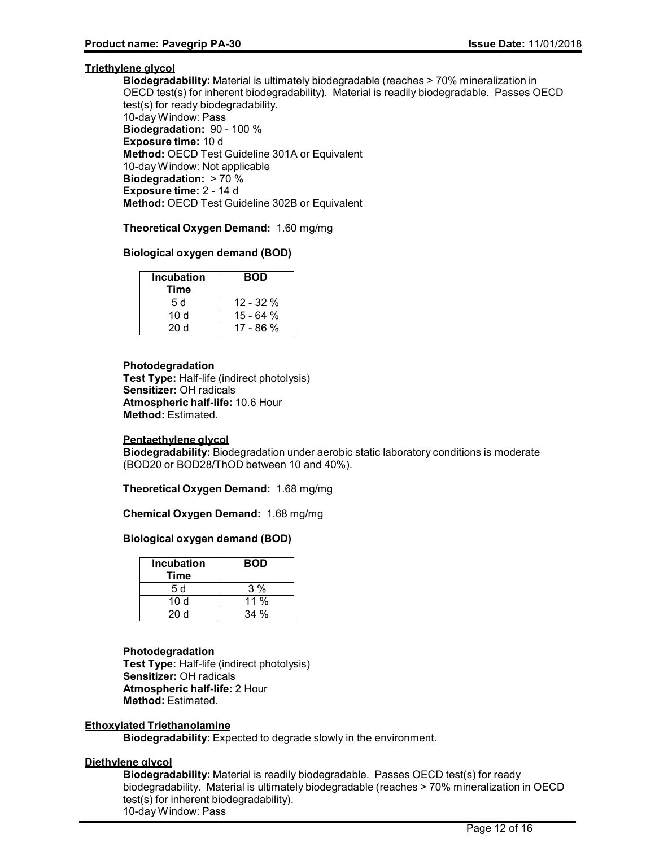## **Triethylene glycol**

**Biodegradability:** Material is ultimately biodegradable (reaches > 70% mineralization in OECD test(s) for inherent biodegradability). Material is readily biodegradable. Passes OECD test(s) for ready biodegradability. 10-day Window: Pass **Biodegradation:** 90 - 100 % **Exposure time:** 10 d **Method:** OECD Test Guideline 301A or Equivalent 10-day Window: Not applicable **Biodegradation:** > 70 % **Exposure time:** 2 - 14 d **Method:** OECD Test Guideline 302B or Equivalent

**Theoretical Oxygen Demand:** 1.60 mg/mg

## **Biological oxygen demand (BOD)**

| <b>Incubation</b><br>Time | <b>BOD</b>  |
|---------------------------|-------------|
| 5 d                       | $12 - 32%$  |
| 10 d                      | 15 - 64 %   |
| 20 Y                      | $17 - 86 %$ |

## **Photodegradation**

**Test Type:** Half-life (indirect photolysis) **Sensitizer:** OH radicals **Atmospheric half-life:** 10.6 Hour **Method:** Estimated.

## **Pentaethylene glycol**

**Biodegradability:** Biodegradation under aerobic static laboratory conditions is moderate (BOD20 or BOD28/ThOD between 10 and 40%).

**Theoretical Oxygen Demand:** 1.68 mg/mg

**Chemical Oxygen Demand:** 1.68 mg/mg

## **Biological oxygen demand (BOD)**

| <b>Incubation</b><br>Time | <b>BOD</b> |
|---------------------------|------------|
| 5 d                       | 3%         |
| 10d                       | 11 %       |
| 20d                       | 34%        |

## **Photodegradation**

**Test Type:** Half-life (indirect photolysis) **Sensitizer:** OH radicals **Atmospheric half-life:** 2 Hour **Method:** Estimated.

## **Ethoxylated Triethanolamine**

**Biodegradability:** Expected to degrade slowly in the environment.

## **Diethylene glycol**

**Biodegradability:** Material is readily biodegradable. Passes OECD test(s) for ready biodegradability. Material is ultimately biodegradable (reaches > 70% mineralization in OECD test(s) for inherent biodegradability). 10-day Window: Pass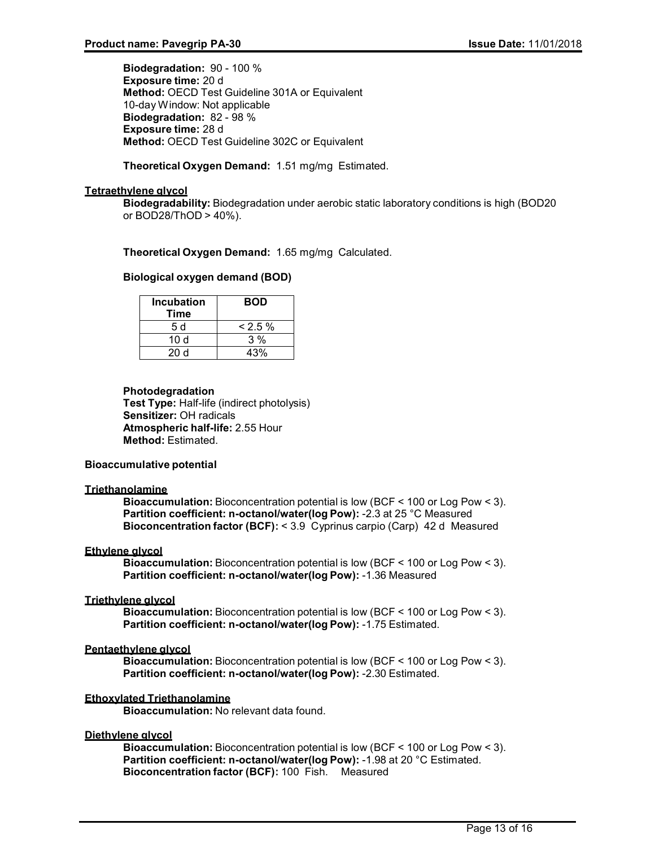**Biodegradation:** 90 - 100 % **Exposure time:** 20 d **Method:** OECD Test Guideline 301A or Equivalent 10-day Window: Not applicable **Biodegradation:** 82 - 98 % **Exposure time:** 28 d **Method:** OECD Test Guideline 302C or Equivalent

## **Theoretical Oxygen Demand:** 1.51 mg/mg Estimated.

## **Tetraethylene glycol**

**Biodegradability:** Biodegradation under aerobic static laboratory conditions is high (BOD20 or BOD28/ThOD > 40%).

## **Theoretical Oxygen Demand:** 1.65 mg/mg Calculated.

## **Biological oxygen demand (BOD)**

| <b>Incubation</b><br>Time | <b>BOD</b> |
|---------------------------|------------|
| .5 d                      | $& 2.5 \%$ |
| 10d                       | $3\%$      |
| 20d                       | 43%        |

## **Photodegradation Test Type:** Half-life (indirect photolysis) **Sensitizer:** OH radicals **Atmospheric half-life:** 2.55 Hour **Method:** Estimated.

## **Bioaccumulative potential**

## **Triethanolamine**

**Bioaccumulation:** Bioconcentration potential is low (BCF < 100 or Log Pow < 3). **Partition coefficient: n-octanol/water(log Pow):** -2.3 at 25 °C Measured **Bioconcentration factor (BCF):** < 3.9 Cyprinus carpio (Carp) 42 d Measured

## **Ethylene glycol**

**Bioaccumulation:** Bioconcentration potential is low (BCF < 100 or Log Pow < 3). **Partition coefficient: n-octanol/water(log Pow):** -1.36 Measured

## **Triethylene glycol**

**Bioaccumulation:** Bioconcentration potential is low (BCF < 100 or Log Pow < 3). **Partition coefficient: n-octanol/water(log Pow):** -1.75 Estimated.

## **Pentaethylene glycol**

**Bioaccumulation:** Bioconcentration potential is low (BCF < 100 or Log Pow < 3). **Partition coefficient: n-octanol/water(log Pow):** -2.30 Estimated.

## **Ethoxylated Triethanolamine**

**Bioaccumulation:** No relevant data found.

## **Diethylene glycol**

**Bioaccumulation:** Bioconcentration potential is low (BCF < 100 or Log Pow < 3). **Partition coefficient: n-octanol/water(log Pow):** -1.98 at 20 °C Estimated. **Bioconcentration factor (BCF):** 100 Fish. Measured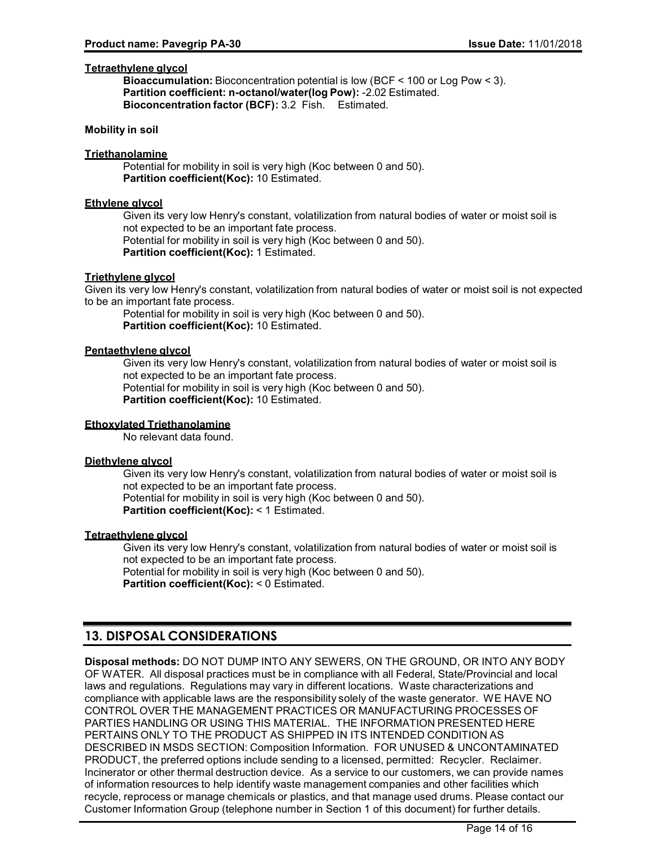## **Tetraethylene glycol**

**Bioaccumulation:** Bioconcentration potential is low (BCF < 100 or Log Pow < 3). **Partition coefficient: n-octanol/water(log Pow):** -2.02 Estimated. **Bioconcentration factor (BCF):** 3.2 Fish. Estimated.

## **Mobility in soil**

## **Triethanolamine**

Potential for mobility in soil is very high (Koc between 0 and 50). **Partition coefficient(Koc):** 10 Estimated.

## **Ethylene glycol**

Given its very low Henry's constant, volatilization from natural bodies of water or moist soil is not expected to be an important fate process. Potential for mobility in soil is very high (Koc between 0 and 50). **Partition coefficient(Koc):** 1 Estimated.

## **Triethylene glycol**

Given its very low Henry's constant, volatilization from natural bodies of water or moist soil is not expected to be an important fate process.

Potential for mobility in soil is very high (Koc between 0 and 50). **Partition coefficient(Koc):** 10 Estimated.

## **Pentaethylene glycol**

Given its very low Henry's constant, volatilization from natural bodies of water or moist soil is not expected to be an important fate process. Potential for mobility in soil is very high (Koc between 0 and 50). **Partition coefficient(Koc):** 10 Estimated.

## **Ethoxylated Triethanolamine**

No relevant data found.

## **Diethylene glycol**

Given its very low Henry's constant, volatilization from natural bodies of water or moist soil is not expected to be an important fate process. Potential for mobility in soil is very high (Koc between 0 and 50). **Partition coefficient(Koc):** < 1 Estimated.

## **Tetraethylene glycol**

Given its very low Henry's constant, volatilization from natural bodies of water or moist soil is not expected to be an important fate process. Potential for mobility in soil is very high (Koc between 0 and 50). **Partition coefficient(Koc):** < 0 Estimated.

## **13. DISPOSAL CONSIDERATIONS**

**Disposal methods:** DO NOT DUMP INTO ANY SEWERS, ON THE GROUND, OR INTO ANY BODY OF WATER. All disposal practices must be in compliance with all Federal, State/Provincial and local laws and regulations. Regulations may vary in different locations. Waste characterizations and compliance with applicable laws are the responsibility solely of the waste generator. WE HAVE NO CONTROL OVER THE MANAGEMENT PRACTICES OR MANUFACTURING PROCESSES OF PARTIES HANDLING OR USING THIS MATERIAL. THE INFORMATION PRESENTED HERE PERTAINS ONLY TO THE PRODUCT AS SHIPPED IN ITS INTENDED CONDITION AS DESCRIBED IN MSDS SECTION: Composition Information. FOR UNUSED & UNCONTAMINATED PRODUCT, the preferred options include sending to a licensed, permitted: Recycler. Reclaimer. Incinerator or other thermal destruction device. As a service to our customers, we can provide names of information resources to help identify waste management companies and other facilities which recycle, reprocess or manage chemicals or plastics, and that manage used drums. Please contact our Customer Information Group (telephone number in Section 1 of this document) for further details.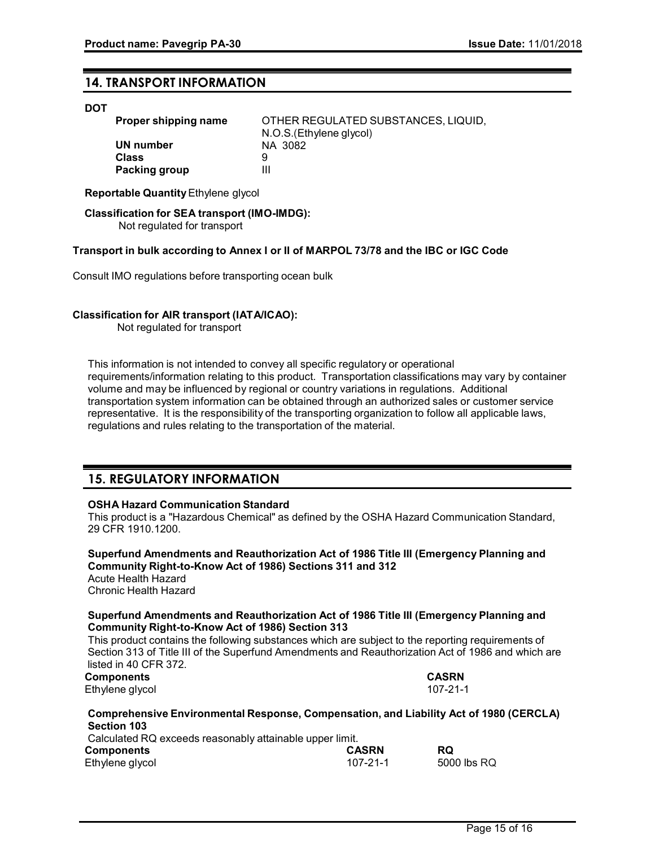## **14. TRANSPORT INFORMATION**

#### **DOT**

| Proper shipping name | OTHER REGULATED SUBSTANCES, LIQUID, |
|----------------------|-------------------------------------|
|                      | N.O.S. (Ethylene glycol)            |
| UN number            | NA 3082                             |
| <b>Class</b>         | 9                                   |
| Packing group        | Ш                                   |

**Reportable Quantity**Ethylene glycol

 **Classification for SEA transport (IMO-IMDG):** Not regulated for transport

#### **Transport in bulk according to Annex I or II of MARPOL 73/78 and the IBC or IGC Code**

Consult IMO regulations before transporting ocean bulk

#### **Classification for AIR transport (IATA/ICAO):**

Not regulated for transport

This information is not intended to convey all specific regulatory or operational requirements/information relating to this product. Transportation classifications may vary by container volume and may be influenced by regional or country variations in regulations. Additional transportation system information can be obtained through an authorized sales or customer service representative. It is the responsibility of the transporting organization to follow all applicable laws, regulations and rules relating to the transportation of the material.

## **15. REGULATORY INFORMATION**

#### **OSHA Hazard Communication Standard**

This product is a "Hazardous Chemical" as defined by the OSHA Hazard Communication Standard, 29 CFR 1910.1200.

**Superfund Amendments and Reauthorization Act of 1986 Title III (Emergency Planning and Community Right-to-Know Act of 1986) Sections 311 and 312** Acute Health Hazard Chronic Health Hazard **Superfund Amendments and Reauthorization Act of 1986 Title III (Emergency Planning and**

**Community Right-to-Know Act of 1986) Section 313** This product contains the following substances which are subject to the reporting requirements of Section 313 of Title III of the Superfund Amendments and Reauthorization Act of 1986 and which are listed in 40 CFR 372.

**Components CASRN**

Ethylene glycol 107-21-1

| Comprehensive Environmental Response, Compensation, and Liability Act of 1980 (CERCLA) |                |             |  |
|----------------------------------------------------------------------------------------|----------------|-------------|--|
| <b>Section 103</b>                                                                     |                |             |  |
| Calculated RQ exceeds reasonably attainable upper limit.                               |                |             |  |
| <b>Components</b>                                                                      | <b>CASRN</b>   | <b>RQ</b>   |  |
| Ethylene glycol                                                                        | $107 - 21 - 1$ | 5000 lbs RQ |  |